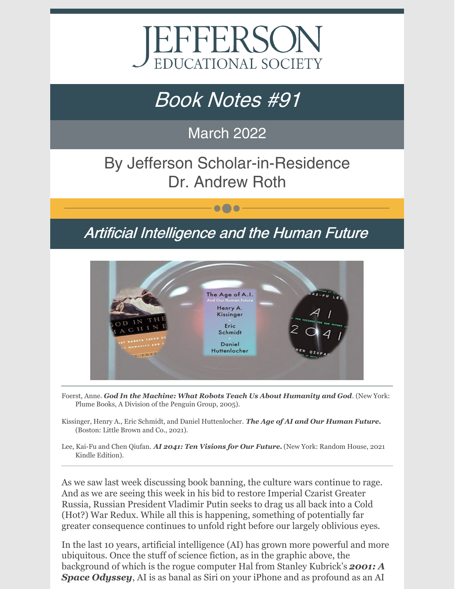

# Book Notes #91

### March 2022

# By Jefferson Scholar-in-Residence Dr. Andrew Roth

## Artificial Intelligence and the Human Future

 $\bullet\bullet\bullet$ 



- Foerst, Anne. *God In the Machine: What Robots Teach Us About Humanity and God*. (New York: *Plume Books, A Division of the Penguin Group, 2005).*
- Kissinger, Henry A., Eric Schmidt, and Daniel Huttenlocher. *The Age of AI and Our Human Future. (Boston: Little Brown and Co., 2021).*
- Lee, Kai-Fu and Chen Qiufan. *AI 2041: Ten Visions for Our Future.* (New York: Random House, 2021 Kindle Edition).

As we saw last week discussing book banning, the culture wars continue to rage. And as we are seeing this week in his bid to restore Imperial Czarist Greater Russia, Russian President Vladimir Putin seeks to drag us all back into a Cold (Hot?) War Redux. While all this is happening, something of potentially far greater consequence continues to unfold right before our largely oblivious eyes.

In the last 10 years, artificial intelligence (AI) has grown more powerful and more ubiquitous. Once the stuff of science fiction, as in the graphic above, the background of which is the rogue computer Hal from Stanley Kubrick's *2001: A Space Odyssey*, AI is as banal as Siri on your iPhone and as profound as an AI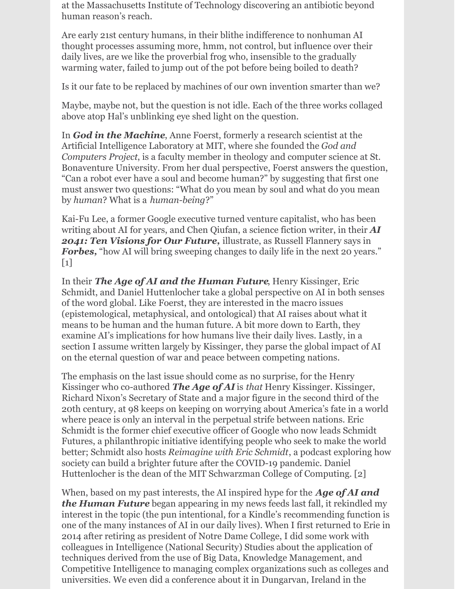at the Massachusetts Institute of Technology discovering an antibiotic beyond human reason's reach.

Are early 21st century humans, in their blithe indifference to nonhuman AI thought processes assuming more, hmm, not control, but influence over their daily lives, are we like the proverbial frog who, insensible to the gradually warming water, failed to jump out of the pot before being boiled to death?

Is it our fate to be replaced by machines of our own invention smarter than we?

Maybe, maybe not, but the question is not idle. Each of the three works collaged above atop Hal's unblinking eye shed light on the question.

In *God in the Machine*, Anne Foerst, formerly a research scientist at the Artificial Intelligence Laboratory at MIT, where she founded the *God and Computers Project*, is a faculty member in theology and computer science at St. Bonaventure University. From her dual perspective, Foerst answers the question, "Can a robot ever have a soul and become human?" by suggesting that first one must answer two questions: "What do you mean by soul and what do you mean by *human*? What is a *human-being*?"

Kai-Fu Lee, a former Google executive turned venture capitalist, who has been writing about AI for years, and Chen Qiufan, a science fiction writer, in their *AI 2041: Ten Visions for Our Future,* illustrate, as Russell Flannery says in **Forbes,** "how AI will bring sweeping changes to daily life in the next 20 years."  $\lceil 1 \rceil$ 

In their *The Age of AI and the Human Future*, Henry Kissinger, Eric Schmidt, and Daniel Huttenlocher take a global perspective on AI in both senses of the word global. Like Foerst, they are interested in the macro issues (epistemological, metaphysical, and ontological) that AI raises about what it means to be human and the human future. A bit more down to Earth, they examine AI's implications for how humans live their daily lives. Lastly, in a section I assume written largely by Kissinger, they parse the global impact of AI on the eternal question of war and peace between competing nations.

The emphasis on the last issue should come as no surprise, for the Henry Kissinger who co-authored *The Age of AI* is *that* Henry Kissinger. Kissinger, Richard Nixon's Secretary of State and a major figure in the second third of the 20th century, at 98 keeps on keeping on worrying about America's fate in a world where peace is only an interval in the perpetual strife between nations. Eric Schmidt is the former chief executive officer of Google who now leads Schmidt Futures, a philanthropic initiative identifying people who seek to make the world better; Schmidt also hosts *Reimagine with Eric Schmidt*, a podcast exploring how society can build a brighter future after the COVID-19 pandemic. Daniel Huttenlocher is the dean of the MIT Schwarzman College of Computing. [2]

When, based on my past interests, the AI inspired hype for the *Age of AI and the Human Future* began appearing in my news feeds last fall, it rekindled my interest in the topic (the pun intentional, for a Kindle's recommending function is one of the many instances of AI in our daily lives). When I first returned to Erie in 2014 after retiring as president of Notre Dame College, I did some work with colleagues in Intelligence (National Security) Studies about the application of techniques derived from the use of Big Data, Knowledge Management, and Competitive Intelligence to managing complex organizations such as colleges and universities. We even did a conference about it in Dungarvan, Ireland in the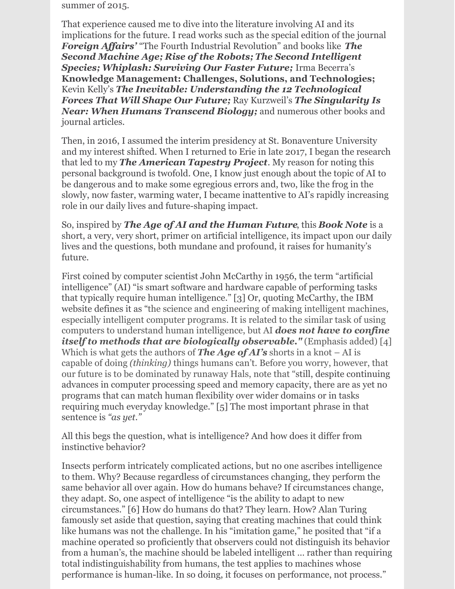summer of 2015.

That experience caused me to dive into the literature involving AI and its implications for the future. I read works such as the special edition of the journal *Foreign Affairs'* "The Fourth Industrial Revolution" and books like *The Second Machine Age; Rise of the Robots; The Second Intelligent Species; Whiplash: Surviving Our Faster Future;* Irma Becerra's **Knowledge Management: Challenges, Solutions, and Technologies;** Kevin Kelly's *The Inevitable: Understanding the 12 Technological Forces That Will Shape Our Future;* Ray Kurzweil's *The Singularity Is Near: When Humans Transcend Biology;* and numerous other books and journal articles.

Then, in 2016, I assumed the interim presidency at St. Bonaventure University and my interest shifted. When I returned to Erie in late 2017, I began the research that led to my *The American Tapestry Project*. My reason for noting this personal background is twofold. One, I know just enough about the topic of AI to be dangerous and to make some egregious errors and, two, like the frog in the slowly, now faster, warming water, I became inattentive to AI's rapidly increasing role in our daily lives and future-shaping impact.

So, inspired by *The Age of AI and the Human Future*, this *Book Note* is a short, a very, very short, primer on artificial intelligence, its impact upon our daily lives and the questions, both mundane and profound, it raises for humanity's future.

First coined by computer scientist John McCarthy in 1956, the term "artificial intelligence" (AI) "is smart software and hardware capable of performing tasks that typically require human intelligence." [3] Or, quoting McCarthy, the IBM website defines it as "the science and engineering of making intelligent machines, especially intelligent computer programs. It is related to the similar task of using computers to understand human intelligence, but AI *does not have to confine itself to methods that are biologically observable."* (Emphasis added) [4] Which is what gets the authors of *The Age of AI's* shorts in a knot – AI is capable of doing *(thinking)* things humans can't. Before you worry, however, that our future is to be dominated by runaway Hals, note that "still, despite continuing advances in computer processing speed and memory capacity, there are as yet no programs that can match human flexibility over wider domains or in tasks requiring much everyday knowledge." [5] The most important phrase in that sentence is *"as yet."*

All this begs the question, what is intelligence? And how does it differ from instinctive behavior?

Insects perform intricately complicated actions, but no one ascribes intelligence to them. Why? Because regardless of circumstances changing, they perform the same behavior all over again. How do humans behave? If circumstances change, they adapt. So, one aspect of intelligence "is the ability to adapt to new circumstances." [6] How do humans do that? They learn. How? Alan Turing famously set aside that question, saying that creating machines that could think like humans was not the challenge. In his "imitation game," he posited that "if a machine operated so proficiently that observers could not distinguish its behavior from a human's, the machine should be labeled intelligent … rather than requiring total indistinguishability from humans, the test applies to machines whose performance is human-like. In so doing, it focuses on performance, not process."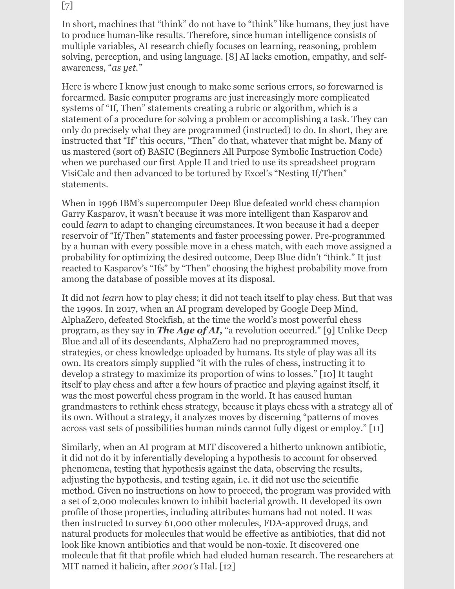### [7]

In short, machines that "think" do not have to "think" like humans, they just have to produce human-like results. Therefore, since human intelligence consists of multiple variables, AI research chiefly focuses on learning, reasoning, problem solving, perception, and using language. [8] AI lacks emotion, empathy, and selfawareness, "*as yet."*

Here is where I know just enough to make some serious errors, so forewarned is forearmed. Basic computer programs are just increasingly more complicated systems of "If, Then" statements creating a rubric or algorithm, which is a statement of a procedure for solving a problem or accomplishing a task. They can only do precisely what they are programmed (instructed) to do. In short, they are instructed that "If" this occurs, "Then" do that, whatever that might be. Many of us mastered (sort of) BASIC (Beginners All Purpose Symbolic Instruction Code) when we purchased our first Apple II and tried to use its spreadsheet program VisiCalc and then advanced to be tortured by Excel's "Nesting If/Then" statements.

When in 1996 IBM's supercomputer Deep Blue defeated world chess champion Garry Kasparov, it wasn't because it was more intelligent than Kasparov and could *learn* to adapt to changing circumstances. It won because it had a deeper reservoir of "If/Then" statements and faster processing power. Pre-programmed by a human with every possible move in a chess match, with each move assigned a probability for optimizing the desired outcome, Deep Blue didn't "think." It just reacted to Kasparov's "Ifs" by "Then" choosing the highest probability move from among the database of possible moves at its disposal.

It did not *learn* how to play chess; it did not teach itself to play chess. But that was the 1990s. In 2017, when an AI program developed by Google Deep Mind, AlphaZero, defeated Stockfish, at the time the world's most powerful chess program, as they say in *The Age of AI,* "a revolution occurred." [9] Unlike Deep Blue and all of its descendants, AlphaZero had no preprogrammed moves, strategies, or chess knowledge uploaded by humans. Its style of play was all its own. Its creators simply supplied "it with the rules of chess, instructing it to develop a strategy to maximize its proportion of wins to losses." [10] It taught itself to play chess and after a few hours of practice and playing against itself, it was the most powerful chess program in the world. It has caused human grandmasters to rethink chess strategy, because it plays chess with a strategy all of its own. Without a strategy, it analyzes moves by discerning "patterns of moves across vast sets of possibilities human minds cannot fully digest or employ." [11]

Similarly, when an AI program at MIT discovered a hitherto unknown antibiotic, it did not do it by inferentially developing a hypothesis to account for observed phenomena, testing that hypothesis against the data, observing the results, adjusting the hypothesis, and testing again, i.e. it did not use the scientific method. Given no instructions on how to proceed, the program was provided with a set of 2,000 molecules known to inhibit bacterial growth. It developed its own profile of those properties, including attributes humans had not noted. It was then instructed to survey 61,000 other molecules, FDA-approved drugs, and natural products for molecules that would be effective as antibiotics, that did not look like known antibiotics and that would be non-toxic. It discovered one molecule that fit that profile which had eluded human research. The researchers at MIT named it halicin, after *2001's* Hal. [12]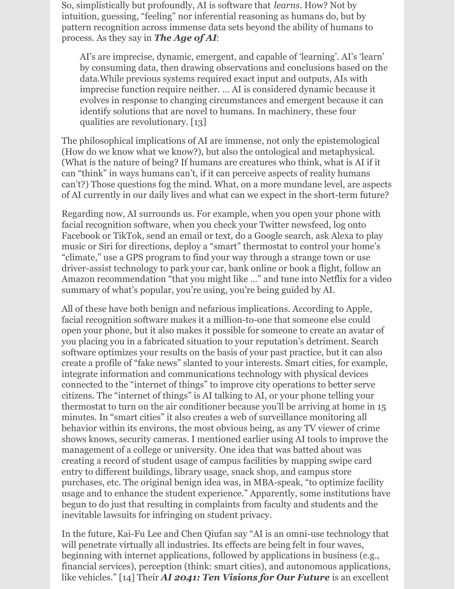So, simplistically but profoundly, AI is software that *learns*. How? Not by intuition, guessing, "feeling" nor inferential reasoning as humans do, but by pattern recognition across immense data sets beyond the ability of humans to process. As they say in *The Age of AI*:

*AI*'s are imprecise, dynamic, emergent, and capable of 'learning'. AI's 'learn' by consuming data, then drawing observations and conclusions based on the data. While previous systems required exact input and outputs, AIs with *llall imprecise function require neither.* ... AI is considered dynamic because it *l* evolves in response to changing circumstances and emergent because it can *ldentify solutions that are novel to humans. In machinery, these four dualities are revolutionary.* [13]

The philosophical implications of AI are immense, not only the epistemological (How do we know what we know?), but also the ontological and metaphysical. (What is the nature of being? If humans are creatures who think, what is AI if it can "think" in ways humans can't, if it can perceive aspects of reality humans can't?) Those questions fog the mind. What, on a more mundane level, are aspects of AI currently in our daily lives and what can we expect in the short-term future?

Regarding now, AI surrounds us. For example, when you open your phone with facial recognition software, when you check your Twitter newsfeed, log onto Facebook or TikTok, send an email or text, do a Google search, ask Alexa to play music or Siri for directions, deploy a "smart" thermostat to control your home's "climate," use a GPS program to find your way through a strange town or use driver-assist technology to park your car, bank online or book a flight, follow an Amazon recommendation "that you might like …" and tune into Netflix for a video summary of what's popular, you're using, you're being guided by AI.

All of these have both benign and nefarious implications. According to Apple, facial recognition software makes it a million-to-one that someone else could open your phone, but it also makes it possible for someone to create an avatar of you placing you in a fabricated situation to your reputation's detriment. Search software optimizes your results on the basis of your past practice, but it can also create a profile of "fake news" slanted to your interests. Smart cities, for example, integrate information and communications technology with physical devices connected to the "internet of things" to improve city operations to better serve citizens. The "internet of things" is AI talking to AI, or your phone telling your thermostat to turn on the air conditioner because you'll be arriving at home in 15 minutes. In "smart cities" it also creates a web of surveillance monitoring all behavior within its environs, the most obvious being, as any TV viewer of crime shows knows, security cameras. I mentioned earlier using AI tools to improve the management of a college or university. One idea that was batted about was creating a record of student usage of campus facilities by mapping swipe card entry to different buildings, library usage, snack shop, and campus store purchases, etc. The original benign idea was, in MBA-speak, "to optimize facility usage and to enhance the student experience." Apparently, some institutions have begun to do just that resulting in complaints from faculty and students and the inevitable lawsuits for infringing on student privacy.

In the future, Kai-Fu Lee and Chen Qiufan say "AI is an omni-use technology that will penetrate virtually all industries. Its effects are being felt in four waves, beginning with internet applications, followed by applications in business (e.g., financial services), perception (think: smart cities), and autonomous applications, like vehicles." [14] Their *AI 2041: Ten Visions for Our Future* is an excellent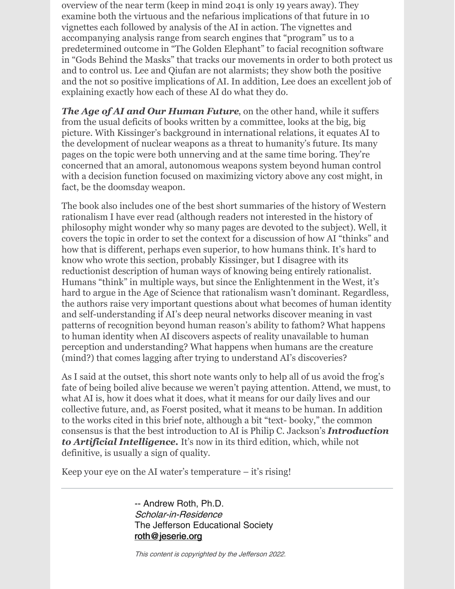overview of the near term (keep in mind 2041 is only 19 years away). They examine both the virtuous and the nefarious implications of that future in 10 vignettes each followed by analysis of the AI in action. The vignettes and accompanying analysis range from search engines that "program" us to a predetermined outcome in "The Golden Elephant" to facial recognition software in "Gods Behind the Masks" that tracks our movements in order to both protect us and to control us. Lee and Qiufan are not alarmists; they show both the positive and the not so positive implications of AI. In addition, Lee does an excellent job of explaining exactly how each of these AI do what they do.

*The Age of AI and Our Human Future*, on the other hand, while it suffers from the usual deficits of books written by a committee, looks at the big, big picture. With Kissinger's background in international relations, it equates AI to the development of nuclear weapons as a threat to humanity's future. Its many pages on the topic were both unnerving and at the same time boring. They're concerned that an amoral, autonomous weapons system beyond human control with a decision function focused on maximizing victory above any cost might, in fact, be the doomsday weapon.

The book also includes one of the best short summaries of the history of Western rationalism I have ever read (although readers not interested in the history of philosophy might wonder why so many pages are devoted to the subject). Well, it covers the topic in order to set the context for a discussion of how AI "thinks" and how that is different, perhaps even superior, to how humans think. It's hard to know who wrote this section, probably Kissinger, but I disagree with its reductionist description of human ways of knowing being entirely rationalist. Humans "think" in multiple ways, but since the Enlightenment in the West, it's hard to argue in the Age of Science that rationalism wasn't dominant. Regardless, the authors raise very important questions about what becomes of human identity and self-understanding if AI's deep neural networks discover meaning in vast patterns of recognition beyond human reason's ability to fathom? What happens to human identity when AI discovers aspects of reality unavailable to human perception and understanding? What happens when humans are the creature (mind?) that comes lagging after trying to understand AI's discoveries?

As I said at the outset, this short note wants only to help all of us avoid the frog's fate of being boiled alive because we weren't paying attention. Attend, we must, to what AI is, how it does what it does, what it means for our daily lives and our collective future, and, as Foerst posited, what it means to be human. In addition to the works cited in this brief note, although a bit "text- booky," the common consensus is that the best introduction to AI is Philip C. Jackson's *Introduction to Artificial Intelligence.* It's now in its third edition, which, while not definitive, is usually a sign of quality.

Keep your eye on the AI water's temperature – it's rising!

-- Andrew Roth, Ph.D. Scholar-in-Residence The Jefferson Educational Society [roth@jeserie.org](mailto:roth@jeserie.org)

This content is copyrighted by the Jefferson 2022.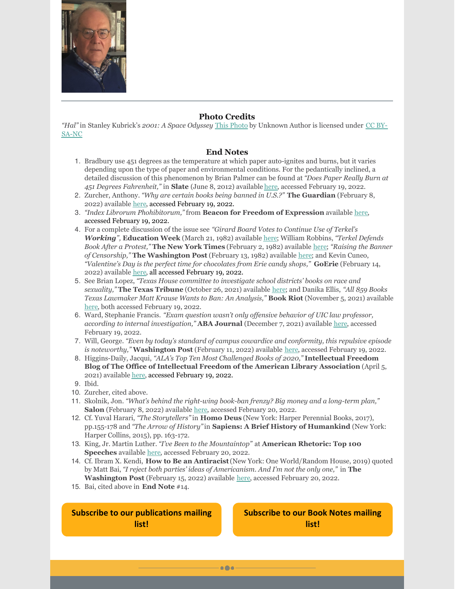

#### **Photo Credits**

*"Hal"* in Stanley Kubrick's *2001: A Space Odyssey* This [Photo](http://websulblog.blogspot.com/2013/01/2001-odissea-nello-spazio-recensione.html) by [Unknown](https://creativecommons.org/licenses/by-nc-sa/3.0/) Author is licensed under CC BY-SA-NC

#### **End Notes**

- 1. Bradbury use 451 degrees as the temperature at which paper auto-ignites and burns, but it varies depending upon the type of paper and environmental conditions. For the pedantically inclined, a detailed discussion of this phenomenon by Brian Palmer can be found at *"Does Paper Really Burn at 451 Degrees Fahrenheit,"* in **Slate** (June 8, 2012) available [here](https://slate.com/technology/2012/06/ray-bradbury-death-does-paper-really-burn-at-451-degrees-fahrenheit.html#:~:text=Although paper ignites at around,between 600 and 800 degrees), accessed February 19, 2022.
- 2. Zurcher, Anthony. *"Why are certain books being banned in U.S.?"* **The Guardian** (February 8, 2022) available [here](https://www.bbc.com/news/world-us-canada-60261660), accessed February 19, 2022.
- 3. *"Index Librorum Phohibitorum,"* from **Beacon for Freedom of Expression** available [here](http://www.beaconforfreedom.org/liste.html?tid=415&art_id=556), accessed February 19, 2022.
- 4. For a complete discussion of the issue see *"Girard Board Votes to Continue Use of Terkel's Working",* **Education Week** (March 21, 1982) available [here](https://www.edweek.org/education/girard-board-votes-to-continue-use-of-terkels-working/1982/03); William Robbins, *"Terkel Defends Book After a Protest,"* **The New York Times** (February 2, 1982) available [here](https://archive.nytimes.com/www.nytimes.com/books/99/09/26/specials/terkel-protest.html); *"Raising the Banner of Censorship,"* **The Washington Post** (February 13, 1982) available [here](https://www.washingtonpost.com/archive/politics/1982/02/13/raising-the-banner-of-censorship/341b6e5f-5338-44ee-b7e0-3146255e536d/); and Kevin Cuneo, *"Valentine's Day is the perfect time for chocolates from Erie candy shops,"* **GoErie** (February 14, 2022) available [here](https://www.goerie.com/story/opinion/2022/02/14/kevin-cuneo-cleveland-guardians-remembering-sarah-miller-darrell-knopfel/6723035001/), all accessed February 19, 2022.
- 5. See Brian Lopez, *"Texas House committee to investigate school districts' books on race and sexuality,"* **The Texas Tribune** (October 26, 2021) available [here](https://www.texastribune.org/2021/10/26/texas-school-books-race-sexuality/); and Danika Ellis, *"All 859 Books Texas Lawmaker Matt Krause Wants to Ban: An Analysis,"* **Book Riot** (November 5, 2021) available [here](https://bookriot.com/texas-book-ban-list/), both accessed February 19, 2022.
- 6. Ward, Stephanie Francis. *"Exam question wasn't only of ensive behavior of UIC law professor, according to internal investigation,"* **ABA Journal** (December 7, 2021) available [here](https://www.abajournal.com/web/article/exam-question-wasnt-only-offensive-behavior-of-uic-law-professor-according-to-internal-investigation#:~:text=Over the past year%2C various,a civil procedure final exam), accessed February 19, 2022.
- 7. Will, George. *"Even by today's standard of campus cowardice and conformity, this repulsive episode is noteworthy,"* **Washington Post** (February 11, 2022) available [here](https://www.washingtonpost.com/opinions/2022/02/11/university-illinois-chicago-cowardice/), accessed February 19, 2022.
- 8. Higgins-Daily, Jacqui, *"ALA's Top Ten Most Challenged Books of 2020,"* **Intellectual Freedom Blog of The Office of Intellectual Freedom of the American Library Association** (April 5, 2021) available [here](https://www.oif.ala.org/oif/alas-top-ten-most-challenged-books-of-2020/#:~:text=In 2020%2C more than 273,of color grew in number), accessed February 19, 2022.
- 9. Ibid.
- 10. Zurcher, cited above.
- 11. Skolnik, Jon. *"What's behind the right-wing book-ban frenzy? Big money and a long-term plan,"* **Salon** (February 8, 2022) available [here](https://www.salon.com/2022/02/08/whats-behind-the-right-wing-book-ban-frenzy-big-money-and-a-long-term-plan/), accessed February 20, 2022.
- 12. Cf. Yuval Harari, *"The Storytellers"* in **Homo Deus** (New York: Harper Perennial Books, 2017), pp.155-178 and *"The Arrow of History"*in **Sapiens: A Brief History of Humankind** (New York: Harper Collins, 2015), pp. 163-172.
- 13. King, Jr. Martin Luther. *"I've Been to the Mountaintop"* at **American Rhetoric: Top 100 Speeches** available [here](https://www.americanrhetoric.com/speeches/mlkivebeentothemountaintop.htm), accessed February 20, 2022.
- 14. Cf. Ibram X. Kendi, **How to Be an Antiracist**(New York: One World/Random House, 2019) quoted by Matt Bai, *"I reject both parties' ideas of Americanism. And I'm not the only one,"* in **The Washington Post** (February 15, 2022) available [here](https://www.washingtonpost.com/opinions/2022/02/15/both-parties-extreme-ideas-repel-center-matt-bai/), accessed February 20, 2022.

 $\bullet\bullet\bullet$ 

15. Bai, cited above in **End Note** #14.

**Subscribe to our [publications](https://lp.constantcontactpages.com/su/OYSOPRt/PublicationsSubscription?source_id=1a2e9eab-b24b-4055-b210-adc451b3f66a&source_type=em&c=) mailing list!**

**[Subscribe](https://lp.constantcontactpages.com/su/TXbaxH2/BookNotesSubscription?source_id=1a2e9eab-b24b-4055-b210-adc451b3f66a&source_type=em&c=) to our Book Notes mailing list!**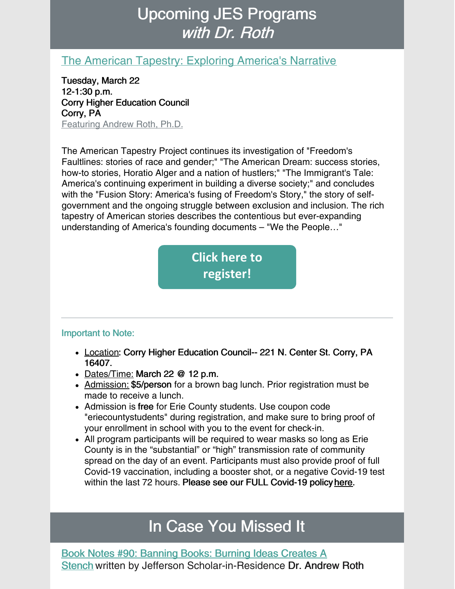# Upcoming JES Programs with Dr. Roth

### The American Tapestry: Exploring [America's](https://www.jeserie.org/events/details/the-american-tapestry-exploring-americas-narrative) Narrative

Tuesday, March 22 12-1:30 p.m. Corry Higher Education Council Corry, PA Featuring Andrew Roth, Ph.D.

The American Tapestry Project continues its investigation of "Freedom's Faultlines: stories of race and gender;" "The American Dream: success stories, how-to stories, Horatio Alger and a nation of hustlers;" "The Immigrant's Tale: America's continuing experiment in building a diverse society;" and concludes with the "Fusion Story: America's fusing of Freedom's Story," the story of selfgovernment and the ongoing struggle between exclusion and inclusion. The rich tapestry of American stories describes the contentious but ever-expanding understanding of America's founding documents – "We the People…"



### Important to Note:

- Location: Corry Higher Education Council-- 221 N. Center St. Corry, PA 16407.
- Dates/Time: March 22 @ 12 p.m.
- Admission: \$5/person for a brown bag lunch. Prior registration must be made to receive a lunch.
- Admission is free for Erie County students. Use coupon code "eriecountystudents" during registration, and make sure to bring proof of your enrollment in school with you to the event for check-in.
- All program participants will be required to wear masks so long as Erie County is in the "substantial" or "high" transmission rate of community spread on the day of an event. Participants must also provide proof of full Covid-19 vaccination, including a booster shot, or a negative Covid-19 test within the last 72 hours. Please see our FULL Covid-19 policy [here](https://linkprotect.cudasvc.com/url?a=https%3a%2f%2fwww.jeserie.org%2fabout%2fcovid-policy&c=E,1,yIiinzkmHlv4GeC5STwPDu4lwnSOUgP-s16iJxy0kcfAKTFd9PGr4ZnrJYa8MeIw8ccAeGtBk-SckRZ2dU9AUppcx4adXMYWc-bYFmqC0eR8utfkX98,&typo=1).

### In Case You Missed It

Book Notes #90: Banning Books: Burning Ideas Creates A Stench written by Jefferson [Scholar-in-Residence](https://conta.cc/3LYJ7Cb) Dr. Andrew Roth